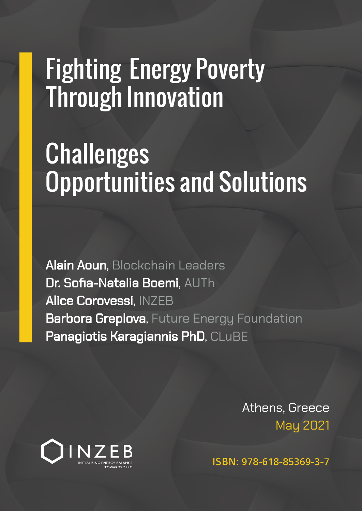## Fighting Energy Poverty Through Innovation

## **Challenges** Opportunities and Solutions

Alain Aoun, Blockchain Leaders Dr. Sofia-Natalia Boemi, AUTh Alice Corovessi, INZEB **Barbora Greplova, Future Energy Foundation** Panagiotis Karagiannis PhD, CLuBE

> Athens, Greece May 2021



ISBN: 978-618-85369-3-7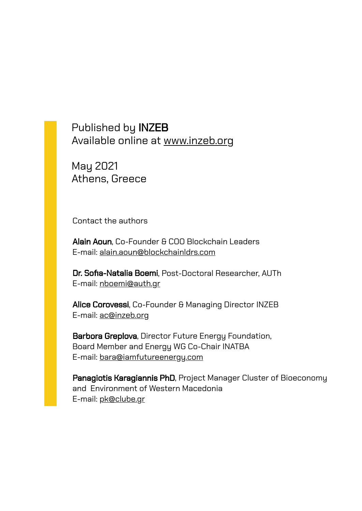Published by INZEB [Available online at www.inzeb.org](http://www.inzeb.org/)

May 2021 Athens, Greece

Contact the authors

Alain Aoun, Co-Founder & COO Blockchain Leaders E-mail: [alain.aoun@blockchainldrs.com](mailto:alain.aoun@blockchainldrs.com)

Dr. Sofia-Natalia Boemi, Post-Doctoral Researcher, AUTh E-mail: [nboemi@auth.gr](mailto:nboemi@auth.gr)

Alice Corovessi, Co-Founder & Managing Director INZEB E-mail: [ac@inzeb.org](mailto:ac@inzeb.org)

Barbora Greplova, Director Future Energy Foundation, Board Member and Energy WG Co-Chair INATBA E-mail: [bara@iamfutureenergy.com](mailto:bara@iamfutureenergy.com)

Panagiotis Karagiannis PhD, Project Manager Cluster of Bioeconomy and Environment of Western Macedonia E-mail: [pk@clube.gr](mailto:pk@clube.gr)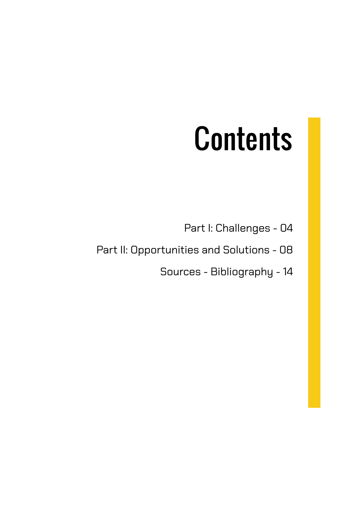# **Contents**

Part I: Challenges - 04

Part II: Opportunities and Solutions - 08

Sources - Bibliography - 14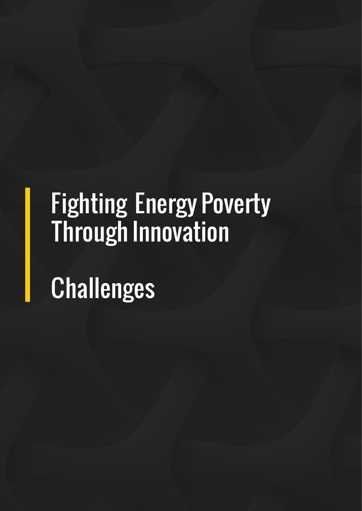## Fighting Energy Poverty Through Innovation

Challenges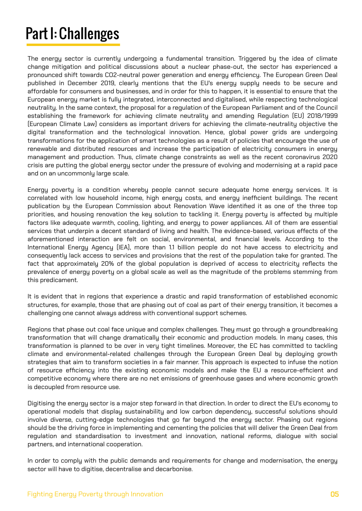### Part I: Challenges

The energy sector is currently undergoing a fundamental transition. Triggered by the idea of climate change mitigation and political discussions about a nuclear phase-out, the sector has experienced a pronounced shift towards CO2-neutral power generation and energy efficiency. The European Green Deal published in December 2019, clearly mentions that the EU's energy supply needs to be secure and affordable for consumers and businesses, and in order for this to happen, it is essential to ensure that the European energy market is fully integrated, interconnected and digitalised, while respecting technological neutrality. In the same context, the proposal for a regulation of the European Parliament and of the Council establishing the framework for achieving climate neutrality and amending Regulation (EU) 2018/1999 (European Climate Law) considers as important drivers for achieving the climate-neutrality objective the digital transformation and the technological innovation. Hence, global power grids are undergoing transformations for the application of smart technologies as a result of policies that encourage the use of renewable and distributed resources and increase the participation of electricity consumers in energy management and production. Thus, climate change constraints as well as the recent coronavirus 2020 crisis are putting the global energy sector under the pressure of evolving and modernising at a rapid pace and on an uncommonly large scale.

Energy poverty is a condition whereby people cannot secure adequate home energy services. It is correlated with low household income, high energy costs, and energy inefficient buildings. The recent publication by the European Commission about Renovation Wave identified it as one of the three top priorities, and housing renovation the key solution to tackling it. Energy poverty is affected by multiple factors like adequate warmth, cooling, lighting, and energy to power appliances. All of them are essential services that underpin a decent standard of living and health. The evidence-based, various effects of the aforementioned interaction are felt on social, environmental, and financial levels. According to the International Energy Agency (IEA), more than 1.1 billion people do not have access to electricity and consequently lack access to services and provisions that the rest of the population take for granted. The fact that approximately 20% of the global population is deprived of access to electricity reflects the prevalence of energy poverty on a global scale as well as the magnitude of the problems stemming from this predicament.

It is evident that in regions that experience a drastic and rapid transformation of established economic structures, for example, those that are phasing out of coal as part of their energy transition, it becomes a challenging one cannot always address with conventional support schemes.

Regions that phase out coal face unique and complex challenges. They must go through a groundbreaking transformation that will change dramatically their economic and production models. In many cases, this transformation is planned to be over in very tight timelines. Moreover, the EC has committed to tackling climate and environmental-related challenges through the European Green Deal by deploying growth strategies that aim to transform societies in a fair manner. This approach is expected to infuse the notion of resource efficiency into the existing economic models and make the EU a resource-efficient and competitive economy where there are no net emissions of greenhouse gases and where economic growth is decoupled from resource use.

Digitising the energy sector is a major step forward in that direction. In order to direct the EU's economy to operational models that display sustainability and low carbon dependency, successful solutions should involve diverse, cutting-edge technologies that go far beyond the energy sector. Phasing out regions should be the driving force in implementing and cementing the policies that will deliver the Green Deal from regulation and standardisation to investment and innovation, national reforms, dialogue with social partners, and international cooperation.

In order to comply with the public demands and requirements for change and modernisation, the energy sector will have to digitise, decentralise and decarbonise.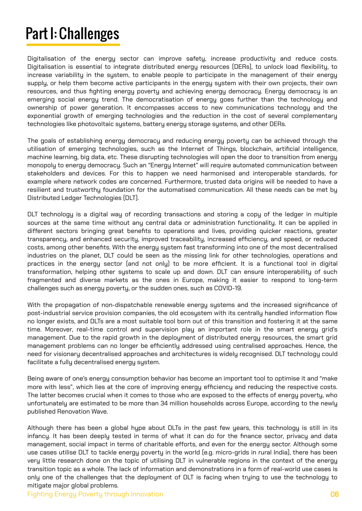### Part I: Challenges

Digitalisation of the energy sector can improve safety, increase productivity and reduce costs. Digitalisation is essential to integrate distributed energy resources (DERs), to unlock load flexibility, to increase variability in the system, to enable people to participate in the management of their energy supply, or help them become active participants in the energy system with their own projects, their own resources, and thus fighting energy poverty and achieving energy democracy. Energy democracy is an emerging social energy trend. The democratisation of energy goes further than the technology and ownership of power generation. It encompasses access to new communications technology and the exponential growth of emerging technologies and the reduction in the cost of several complementary technologies like photovoltaic systems, battery energy storage systems, and other DERs.

The goals of establishing energy democracy and reducing energy poverty can be achieved through the utilisation of emerging technologies, such as the Internet of Things, blockchain, artificial intelligence, machine learning, big data, etc. These disrupting technologies will open the door to transition from energy monopoly to energy democracy. Such an "Energy Internet" will require automated communication between stakeholders and devices. For this to happen we need harmonised and interoperable standards, for example where network codes are concerned. Furthermore, trusted data origins will be needed to have a resilient and trustworthy foundation for the automatised communication. All these needs can be met by Distributed Ledger Technologies (DLT).

DLT technology is a digital way of recording transactions and storing a copy of the ledger in multiple sources at the same time without any central data or administration functionality. It can be applied in different sectors bringing great benefits to operations and lives, providing quicker reactions, greater transparency, and enhanced security, improved traceability, increased efficiency, and speed, or reduced costs, among other benefits. With the energy system fast transforming into one of the most decentralised industries on the planet, DLT could be seen as the missing link for other technologies, operations and practices in the energy sector (and not only) to be more efficient. It is a functional tool in digital transformation, helping other systems to scale up and down. DLT can ensure interoperability of such fragmented and diverse markets as the ones in Europe, making it easier to respond to long-term challenges such as energy poverty, or the sudden ones, such as COVID-19.

With the propagation of non-dispatchable renewable energy systems and the increased significance of post-industrial service provision companies, the old ecosystem with its centrally handled information flow no longer exists, and DLTs are a most suitable tool born out of this transition and fostering it at the same time. Moreover, real-time control and supervision play an important role in the smart energy grid's management. Due to the rapid growth in the deployment of distributed energy resources, the smart grid management problems can no longer be efficiently addressed using centralised approaches. Hence, the need for visionary decentralised approaches and architectures is widely recognised. DLT technology could facilitate a fully decentralised energy system.

Being aware of one's energy consumption behavior has become an important tool to optimise it and "make more with less", which lies at the core of improving energy efficiency and reducing the respective costs. The latter becomes crucial when it comes to those who are exposed to the effects of energy poverty, who unfortunately are estimated to be more than 34 million households across Europe, according to the newly published Renovation Wave.

Although there has been a global hype about DLTs in the past few years, this technology is still in its infancy. It has been deeply tested in terms of what it can do for the finance sector, privacy and data management, social impact in terms of charitable efforts, and even for the energy sector. Although some use cases utilise DLT to tackle energy poverty in the world (e.g. micro-grids in rural India), there has been very little research done on the topic of utilising DLT in vulnerable regions in the context of the energy transition topic as a whole. The lack of information and demonstrations in a form of real-world use cases is only one of the challenges that the deployment of DLT is facing when trying to use the technology to mitigate major global problems.

Fighting Energy Poverty through Innovation 06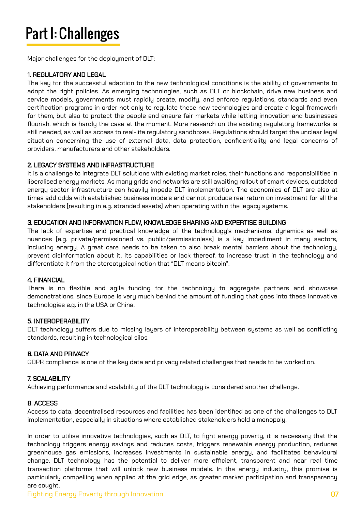### Part I: Challenges

Major challenges for the deployment of DLT:

### 1. REGULATORY AND LEGAL

The key for the successful adaption to the new technological conditions is the ability of governments to adopt the right policies. As emerging technologies, such as DLT or blockchain, drive new business and service models, governments must rapidly create, modify, and enforce regulations, standards and even certification programs in order not only to regulate these new technologies and create a legal framework for them, but also to protect the people and ensure fair markets while letting innovation and businesses flourish, which is hardlu the case at the moment. More research on the existing regulatoru frameworks is still needed, as well as access to real-life regulatory sandboxes. Regulations should target the unclear legal situation concerning the use of external data, data protection, confidentiality and legal concerns of providers, manufacturers and other stakeholders.

### 2. LEGACY SYSTEMS AND INFRASTRUCTURE

It is a challenge to integrate DLT solutions with existing market roles, their functions and responsibilities in liberalised energy markets. As many grids and networks are still awaiting rollout of smart devices, outdated energy sector infrastructure can heavily impede DLT implementation. The economics of DLT are also at times add odds with established business models and cannot produce real return on investment for all the stakeholders (resulting in e.g. stranded assets) when operating within the legacy systems.

### 3. EDUCATION AND INFORMATION FLOW, KNOWLEDGE SHARING AND EXPERTISE BUILDING

The lack of expertise and practical knowledge of the technology's mechanisms, dynamics as well as nuances (e.g. private/permissioned vs. public/permissionless) is a key impediment in many sectors, including energy. A great care needs to be taken to also break mental barriers about the technology, prevent disinformation about it, its capabilities or lack thereof, to increase trust in the technology and differentiate it from the stereotypical notion that "DLT means bitcoin".

### 4. FINANCIAL

There is no flexible and agile funding for the technology to aggregate partners and showcase demonstrations, since Europe is very much behind the amount of funding that goes into these innovative technologies e.g. in the USA or China.

### 5. INTEROPERABILITY

DLT technology suffers due to missing layers of interoperability between systems as well as conflicting standards, resulting in technological silos.

### 6. DATA AND PRIVACY

GDPR compliance is one of the key data and privacy related challenges that needs to be worked on.

### 7. SCALABILITY

Achieving performance and scalability of the DLT technology is considered another challenge.

### 8. ACCESS

Access to data, decentralised resources and facilities has been identified as one of the challenges to DLT implementation, especially in situations where established stakeholders hold a monopoly.

In order to utilise innovative technologies, such as DLT, to fight energy poverty, it is necessary that the technology triggers energy savings and reduces costs, triggers renewable energy production, reduces greenhouse gas emissions, increases investments in sustainable energy, and facilitates behavioural change. DLT technology has the potential to deliver more efficient, transparent and near real time transaction platforms that will unlock new business models. In the energy industry, this promise is particularly compelling when applied at the grid edge, as greater market participation and transparency are sought.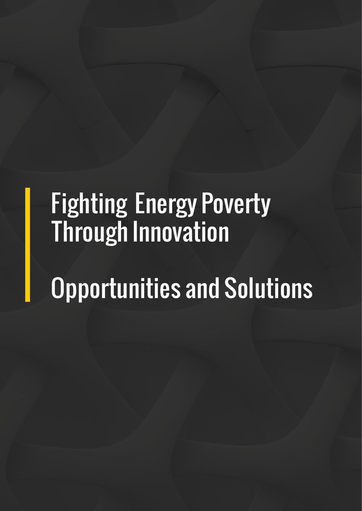## Fighting Energy Poverty Through Innovation

## Opportunities and Solutions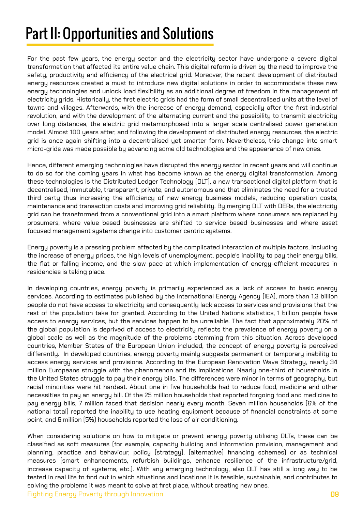For the past few years, the energy sector and the electricity sector have undergone a severe digital transformation that affected its entire value chain. This digital reform is driven by the need to improve the safety, productivity and efficiency of the electrical grid. Moreover, the recent development of distributed energy resources created a must to introduce new digital solutions in order to accommodate these new energy technologies and unlock load flexibility as an additional degree of freedom in the management of electricity grids. Historically, the first electric grids had the form of small decentralised units at the level of towns and villages. Afterwards, with the increase of energy demand, especially after the first industrial revolution, and with the development of the alternating current and the possibility to transmit electricity over long distances, the electric grid metamorphosed into a larger scale centralised power generation model. Almost 100 years after, and following the development of distributed energy resources, the electric grid is once again shifting into a decentralised yet smarter form. Nevertheless, this change into smart micro-grids was made possible by advancing some old technologies and the appearance of new ones.

Hence, different emerging technologies have disrupted the energy sector in recent years and will continue to do so for the coming years in what has become known as the energy digital transformation. Among these technologies is the Distributed Ledger Technology (DLT), a new transactional digital platform that is decentralised, immutable, transparent, private, and autonomous and that eliminates the need for a trusted third party thus increasing the efficiency of new energy business models, reducing operation costs, maintenance and transaction costs and improving grid reliability. By merging DLT with DERs, the electricity grid can be transformed from a conventional grid into a smart platform where consumers are replaced by prosumers, where value based businesses are shifted to service based businesses and where asset focused management systems change into customer centric systems.

Energy poverty is a pressing problem affected by the complicated interaction of multiple factors, including the increase of energy prices, the high levels of unemployment, people's inability to pay their energy bills, the flat or falling income, and the slow pace at which implementation of energy-efficient measures in residencies is taking place.

In developing countries, energy poverty is primarily experienced as a lack of access to basic energy services. According to estimates published by the International Energy Agency (IEA), more than 1.3 billion people do not have access to electricity and consequently lack access to services and provisions that the rest of the population take for granted. According to the United Nations statistics, 1 billion people have access to energy services, but the services happen to be unreliable. The fact that approximately 20% of the global population is deprived of access to electricity reflects the prevalence of energy poverty on a global scale as well as the magnitude of the problems stemming from this situation. Across developed countries, Member States of the European Union included, the concept of energy poverty is perceived differently. In developed countries, energy poverty mainly suggests permanent or temporary inability to access energy services and provisions. According to the European Renovation Wave Strategy, nearly 34 million Europeans struggle with the phenomenon and its implications. Nearly one-third of households in the United States struggle to pay their energy bills. The differences were minor in terms of geography, but racial minorities were hit hardest. About one in five households had to reduce food, medicine and other necessities to pay an energy bill. Of the 25 million households that reported forgoing food and medicine to pay energy bills, 7 million faced that decision nearly every month. Seven million households (6% of the national total) reported the inability to use heating equipment because of financial constraints at some point, and 6 million (5%) households reported the loss of air conditioning.

When considering solutions on how to mitigate or prevent energy poverty utilising DLTs, these can be classified as soft measures (for example, capacity building and information provision, management and planning, practice and behaviour, policy (strategy), (alternative) financing schemes) or as technical measures (smart enhancements, refurbish buildings, enhance resilience of the infrastructure/grid, increase capacity of systems, etc.). With any emerging technology, also DLT has still a long way to be tested in real life to find out in which situations and locations it is feasible, sustainable, and contributes to solving the problems it was meant to solve at first place, without creating new ones.

Fighting Energy Poverty through Innovation 09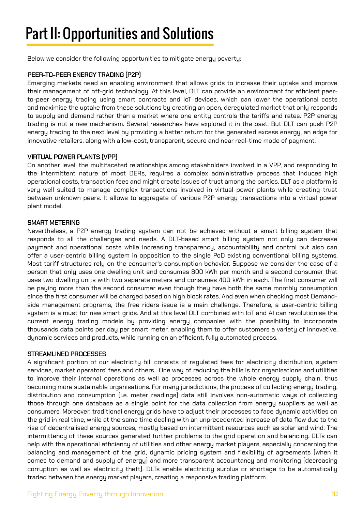Below we consider the following opportunities to mitigate energy poverty:

### PEER-TO-PEER ENERGY TRADING (P2P)

Emerging markets need an enabling environment that allows grids to increase their uptake and improve their management of off-grid technology. At this level, DLT can provide an environment for efficient peerto-peer energy trading using smart contracts and IoT devices, which can lower the operational costs and maximise the uptake from these solutions by creating an open, deregulated market that only responds to supply and demand rather than a market where one entity controls the tariffs and rates. P2P energy trading is not a new mechanism. Several researches have explored it in the past. But DLT can push P2P energy trading to the next level by providing a better return for the generated excess energy, an edge for innovative retailers, along with a low-cost, transparent, secure and near real-time mode of payment.

### VIRTUAL POWER PLANTS (VPP)

On another level, the multifaceted relationships among stakeholders involved in a VPP, and responding to the intermittent nature of most DERs, requires a complex administrative process that induces high operational costs, transaction fees and might create issues of trust among the parties. DLT as a platform is very well suited to manage complex transactions involved in virtual power plants while creating trust between unknown peers. It allows to aggregate of various P2P energy transactions into a virtual power plant model.

### SMART METERING

Nevertheless, a P2P energy trading system can not be achieved without a smart billing system that responds to all the challenges and needs. A DLT-based smart billing system not only can decrease payment and operational costs while increasing transparency, accountability and control but also can offer a user-centric billing system in opposition to the single PoD existing conventional billing systems. Most tariff structures rely on the consumer's consumption behavior. Suppose we consider the case of a person that only uses one dwelling unit and consumes 800 kWh per month and a second consumer that uses two dwelling units with two separate meters and consumes 400 kWh in each. The first consumer will be paying more than the second consumer even though they have both the same monthly consumption since the first consumer will be charged based on high block rates. And even when checking most Demandside management programs, the free riders issue is a main challenge. Therefore, a user-centric billing system is a must for new smart grids. And at this level DLT combined with IoT and AI can revolutionise the current energy trading models by providing energy companies with the possibility to incorporate thousands data points per day per smart meter, enabling them to offer customers a variety of innovative, dynamic services and products, while running on an efficient, fully automated process.

### STREAMLINED PROCESSES

A significant portion of our electricity bill consists of regulated fees for electricity distribution, system services, market operators' fees and others. One way of reducing the bills is for organisations and utilities to improve their internal operations as well as processes across the whole energy supply chain, thus becoming more sustainable organisations. For many jurisdictions, the process of collecting energy trading, distribution and consumption (i.e. meter readings) data still involves non-automatic ways of collecting those through one database as a single point for the data collection from energy suppliers as well as consumers. Moreover, traditional energy grids have to adjust their processes to face dynamic activities on the grid in real time, while at the same time dealing with an unprecedented increase of data flow due to the rise of decentralised energy sources, mostly based on intermittent resources such as solar and wind. The intermittency of these sources generated further problems to the grid operation and balancing. DLTs can help with the operational efficiency of utilities and other energy market players, especially concerning the balancing and management of the grid, dynamic pricing system and flexibility of agreements (when it comes to demand and supply of energy) and more transparent accountancy and monitoring (decreasing corruption as well as electricity theft). DLTs enable electricity surplus or shortage to be automatically traded between the energy market players, creating a responsive trading platform.

### Fighting Energy Poverty through Innovation 10 and 10 and 10 and 10 and 10 and 10 and 10 and 10 and 10 and 10 and 10 and 10 and 10 and 10 and 10 and 10 and 10 and 10 and 10 and 10 and 10 and 10 and 10 and 10 and 10 and 10 a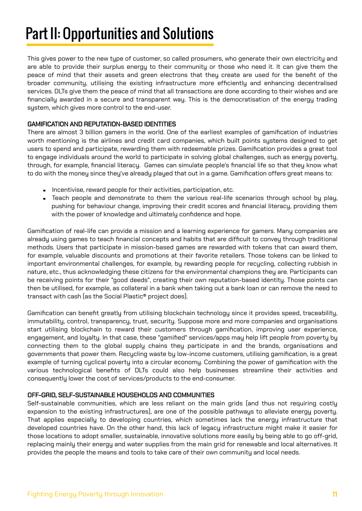This gives power to the new type of customer, so called prosumers, who generate their own electricity and are able to provide their surplus energy to their community or those who need it. It can give them the peace of mind that their assets and green electrons that they create are used for the benefit of the broader community, utilising the existing infrastructure more efficiently and enhancing decentralised services. DLTs give them the peace of mind that all transactions are done according to their wishes and are financially awarded in a secure and transparent way. This is the democratisation of the energy trading system, which gives more control to the end-user.

### GAMIFICATION AND REPUTATION-BASED IDENTITIES

There are almost 3 billion gamers in the world. One of the earliest examples of gamification of industries worth mentioning is the airlines and credit card companies, which built points systems designed to get users to spend and participate, rewarding them with redeemable prizes. Gamification provides a great tool to engage individuals around the world to participate in solving global challenges, such as energy poverty, through, for example, financial literacy. Games can simulate people's financial life so that they know what to do with the money since they've already played that out in a game. Gamification offers great means to:

- **Incentivise, reward people for their activities, participation, etc.**
- **Teach people and demonstrate to them the various real-life scenarios through school by play,** pushing for behaviour change, improving their credit scores and financial literacy, providing them with the power of knowledge and ultimately confidence and hope.

Gamification of real-life can provide a mission and a learning experience for gamers. Many companies are already using games to teach financial concepts and habits that are difficult to convey through traditional methods. Users that participate in mission-based games are rewarded with tokens that can award them, for example, valuable discounts and promotions at their favorite retailers. Those tokens can be linked to important environmental challenges, for example, by rewarding people for recycling, collecting rubbish in nature, etc., thus acknowledging these citizens for the environmental champions they are. Participants can be receiving points for their "good deeds", creating their own reputation-based identity. Those points can then be utilised, for example, as collateral in a bank when taking out a bank loan or can remove the need to transact with cash (as the Social Plastic® project does).

Gamification can benefit greatly from utilising blockchain technology since it provides speed, traceability, immutability, control, transparency, trust, security. Suppose more and more companies and organisations start utilising blockchain to reward their customers through gamification, improving user experience, engagement, and loyalty. In that case, these "gamified" services/apps may help lift people from poverty by connecting them to the global supply chains they participate in and the brands, organisations and governments that power them. Recycling waste by low-income customers, utilising gamification, is a great example of turning cyclical poverty into a circular economy. Combining the power of gamification with the various technological benefits of DLTs could also help businesses streamline their activities and consequently lower the cost of services/products to the end-consumer.

### OFF-GRID, SELF-SUSTAINABLE HOUSEHOLDS AND COMMUNITIES

Self-sustainable communities, which are less reliant on the main grids (and thus not requiring costly expansion to the existing infrastructures), are one of the possible pathways to alleviate energy poverty. That applies especially to developing countries, which sometimes lack the energy infrastructure that developed countries have. On the other hand, this lack of legacy infrastructure might make it easier for those locations to adopt smaller, sustainable, innovative solutions more easily by being able to go off-grid, replacing mainly their energy and water supplies from the main grid for renewable and local alternatives. It provides the people the means and tools to take care of their own community and local needs.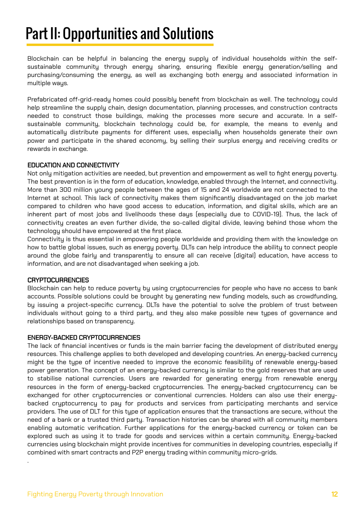Blockchain can be helpful in balancing the energy supply of individual households within the selfsustainable community through energy sharing, ensuring flexible energy generation/selling and purchasing/consuming the energy, as well as exchanging both energy and associated information in multiple ways.

Prefabricated off-grid-ready homes could possibly benefit from blockchain as well. The technology could help streamline the supply chain, design documentation, planning processes, and construction contracts needed to construct those buildings, making the processes more secure and accurate. In a selfsustainable community, blockchain technology could be, for example, the means to evenly and automatically distribute payments for different uses, especially when households generate their own power and participate in the shared economy, by selling their surplus energy and receiving credits or rewards in exchange.

### EDUCATION AND CONNECTIVITY

Not only mitigation activities are needed, but prevention and empowerment as well to fight energy poverty. The best prevention is in the form of education, knowledge, enabled through the Internet, and connectivity. More than 300 million young people between the ages of 15 and 24 worldwide are not connected to the Internet at school. This lack of connectivity makes them significantly disadvantaged on the job market compared to children who have good access to education, information, and digital skills, which are an inherent part of most jobs and livelihoods these days (especially due to COVID-19). Thus, the lack of connectivity creates an even further divide, the so-called digital divide, leaving behind those whom the technology should have empowered at the first place.

Connectivity is thus essential in empowering people worldwide and providing them with the knowledge on how to battle global issues, such as energy poverty. DLTs can help introduce the ability to connect people around the globe fairly and transparently to ensure all can receive (digital) education, have access to information, and are not disadvantaged when seeking a job.

### CRYPTOCURRENCIES

.

Blockchain can help to reduce poverty by using cryptocurrencies for people who have no access to bank accounts. Possible solutions could be brought by generating new funding models, such as crowdfunding, by issuing a project-specific currency. DLTs have the potential to solve the problem of trust between individuals without going to a third party, and they also make possible new types of governance and relationships based on transparency.

### ENERGY-BACKED CRYPTOCURRENCIES

The lack of financial incentives or funds is the main barrier facing the development of distributed energy resources. This challenge applies to both developed and developing countries. An energy-backed currency might be the type of incentive needed to improve the economic feasibility of renewable energy-based power generation. The concept of an energy-backed currency is similar to the gold reserves that are used to stabilise national currencies. Users are rewarded for generating energy from renewable energy resources in the form of energy-backed cryptocurrencies. The energy-backed cryptocurrency can be exchanged for other cryptocurrencies or conventional currencies. Holders can also use their energybacked cryptocurrency to pay for products and services from participating merchants and service providers. The use of DLT for this type of application ensures that the transactions are secure, without the need of a bank or a trusted third party. Transaction histories can be shared with all community members enabling automatic verification. Further applications for the energy-backed currency or token can be explored such as using it to trade for goods and services within a certain community. Energy-backed currencies using blockchain might provide incentives for communities in developing countries, especially if combined with smart contracts and P2P energy trading within community micro-grids.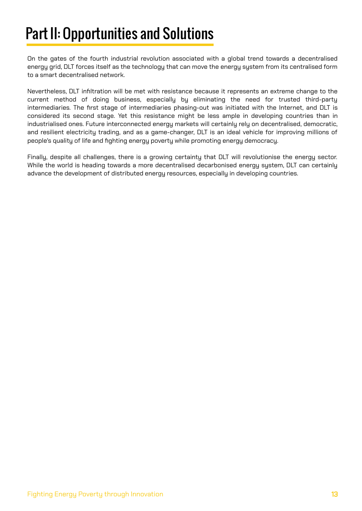On the gates of the fourth industrial revolution associated with a global trend towards a decentralised energy grid, DLT forces itself as the technology that can move the energy system from its centralised form to a smart decentralised network.

Nevertheless, DLT infiltration will be met with resistance because it represents an extreme change to the current method of doing business, especially by eliminating the need for trusted third-party intermediaries. The first stage of intermediaries phasing-out was initiated with the Internet, and DLT is considered its second stage. Yet this resistance might be less ample in developing countries than in industrialised ones. Future interconnected energy markets will certainly rely on decentralised, democratic, and resilient electricity trading, and as a game-changer, DLT is an ideal vehicle for improving millions of people's quality of life and fighting energy poverty while promoting energy democracy.

Finally, despite all challenges, there is a growing certainty that DLT will revolutionise the energy sector. While the world is heading towards a more decentralised decarbonised energy system, DLT can certainly advance the development of distributed energy resources, especially in developing countries.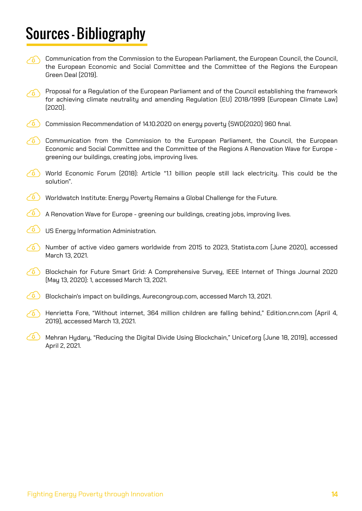### Sources - Bibliography

- Communication from the Commission to the European Parliament, the European Council, the Council, the European Economic and Social Committee and the Committee of the Regions the European Green Deal (2019).
- $\odot$  Proposal for a Regulation of the European Parliament and of the Council establishing the framework for achieving climate neutrality and amending Regulation (EU) 2018/1999 (European Climate Law) (2020).
- Commission Recommendation of 14.10.2020 on energy poverty  $\overline{\text{SWD}}$  (2020) 960 final.
- Communication from the Commission to the European Parliament, the Council, the European Economic and Social Committee and the Committee of the Regions A Renovation Wave for Europe greening our buildings, creating jobs, improving lives.
- World Economic Forum (2018): Article "1.1 billion people still lack electricity. This could be the solution".
- Worldwatch Institute: Energy Poverty Remains a Global Challenge for the Future.
- A Renovation Wave for Europe greening our buildings, creating jobs, improving lives.
- US Energy Information Administration.
- Number of active video gamers worldwide from 2015 to 2023, Statista.com (June 2020), accessed  $\sqrt{n}$ March 13, 2021.
- Blockchain for Future Smart Grid: A Comprehensive Survey, IEEE Internet of Things Journal 2020 (May 13, 2020): 1, accessed March 13, 2021.
- Blockchain's impact on buildings, Aurecongroup.com, accessed March 13, 2021.
- Henrietta Fore, "Without internet, 364 million children are falling behind," Edition.cnn.com (April 4, ⁄ዕ \ 2019), accessed March 13, 2021.
- $\bigcirc$ Mehran Hydary, "Reducing the Digital Divide Using Blockchain," Unicef.org (June 18, 2019), accessed April 2, 2021.